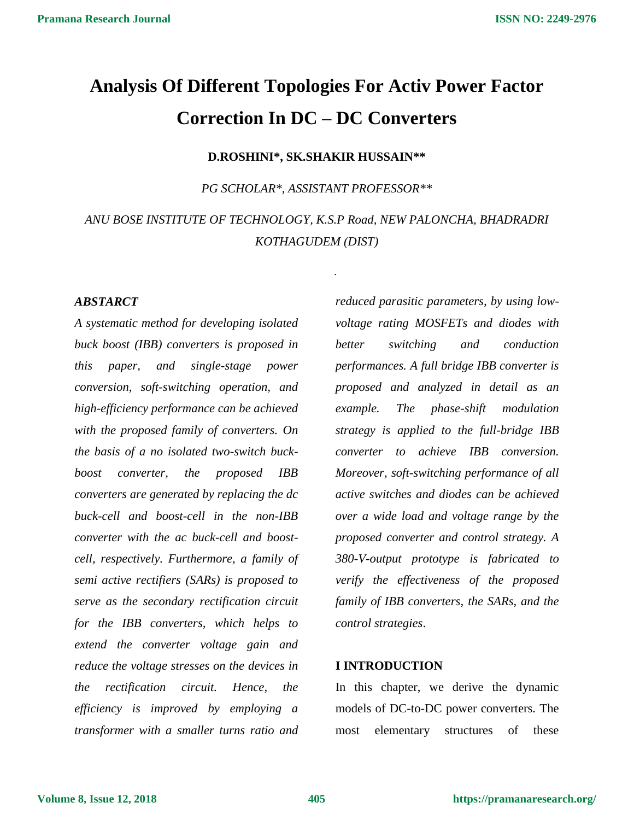# **Analysis Of Different Topologies For Activ Power Factor Correction In DC – DC Converters**

#### **D.ROSHINI\*, SK.SHAKIR HUSSAIN\*\***

*PG SCHOLAR\*, ASSISTANT PROFESSOR\*\**

### *ANU BOSE INSTITUTE OF TECHNOLOGY, K.S.P Road, NEW PALONCHA, BHADRADRI KOTHAGUDEM (DIST)*

.

### *ABSTARCT*

*A systematic method for developing isolated buck boost (IBB) converters is proposed in this paper, and single-stage power conversion, soft-switching operation, and high-efficiency performance can be achieved with the proposed family of converters. On the basis of a no isolated two-switch buckboost converter, the proposed IBB converters are generated by replacing the dc buck-cell and boost-cell in the non-IBB converter with the ac buck-cell and boostcell, respectively. Furthermore, a family of semi active rectifiers (SARs) is proposed to serve as the secondary rectification circuit for the IBB converters, which helps to extend the converter voltage gain and reduce the voltage stresses on the devices in the rectification circuit. Hence, the efficiency is improved by employing a transformer with a smaller turns ratio and* 

*reduced parasitic parameters, by using lowvoltage rating MOSFETs and diodes with better switching and conduction performances. A full bridge IBB converter is proposed and analyzed in detail as an example. The phase-shift modulation strategy is applied to the full-bridge IBB converter to achieve IBB conversion. Moreover, soft-switching performance of all active switches and diodes can be achieved over a wide load and voltage range by the proposed converter and control strategy. A 380-V-output prototype is fabricated to verify the effectiveness of the proposed family of IBB converters, the SARs, and the control strategies*.

#### **I INTRODUCTION**

In this chapter, we derive the dynamic models of DC-to-DC power converters. The most elementary structures of these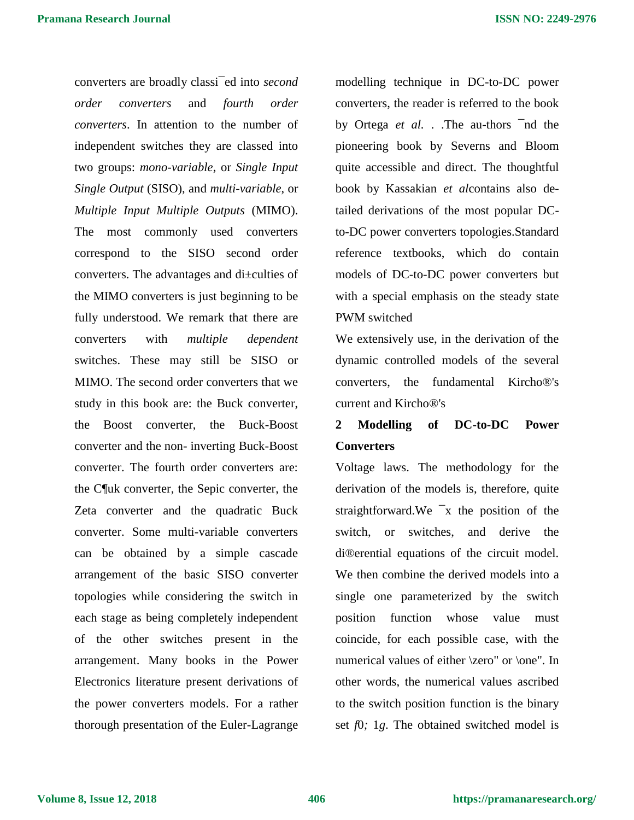converters are broadly classi¯ed into *second order converters* and *fourth order converters*. In attention to the number of independent switches they are classed into two groups: *mono-variable*, or *Single Input Single Output* (SISO), and *multi-variable*, or *Multiple Input Multiple Outputs* (MIMO). The most commonly used converters correspond to the SISO second order converters. The advantages and di±culties of the MIMO converters is just beginning to be fully understood. We remark that there are converters with *multiple dependent*  switches. These may still be SISO or MIMO. The second order converters that we study in this book are: the Buck converter, the Boost converter, the Buck-Boost converter and the non- inverting Buck-Boost converter. The fourth order converters are: the C¶uk converter, the Sepic converter, the Zeta converter and the quadratic Buck converter. Some multi-variable converters can be obtained by a simple cascade arrangement of the basic SISO converter topologies while considering the switch in each stage as being completely independent of the other switches present in the arrangement. Many books in the Power Electronics literature present derivations of the power converters models. For a rather thorough presentation of the Euler-Lagrange modelling technique in DC-to-DC power converters, the reader is referred to the book by Ortega *et al.* . .The au-thors ¯nd the pioneering book by Severns and Bloom quite accessible and direct. The thoughtful book by Kassakian *et al*contains also detailed derivations of the most popular DCto-DC power converters topologies.Standard reference textbooks, which do contain models of DC-to-DC power converters but with a special emphasis on the steady state PWM switched

We extensively use, in the derivation of the dynamic controlled models of the several converters, the fundamental Kircho®'s current and Kircho®'s

## **2 Modelling of DC-to-DC Power Converters**

Voltage laws. The methodology for the derivation of the models is, therefore, quite straightforward.We ¯x the position of the switch, or switches, and derive the di®erential equations of the circuit model. We then combine the derived models into a single one parameterized by the switch position function whose value must coincide, for each possible case, with the numerical values of either \zero" or \one". In other words, the numerical values ascribed to the switch position function is the binary set *f*0*;* 1*g*. The obtained switched model is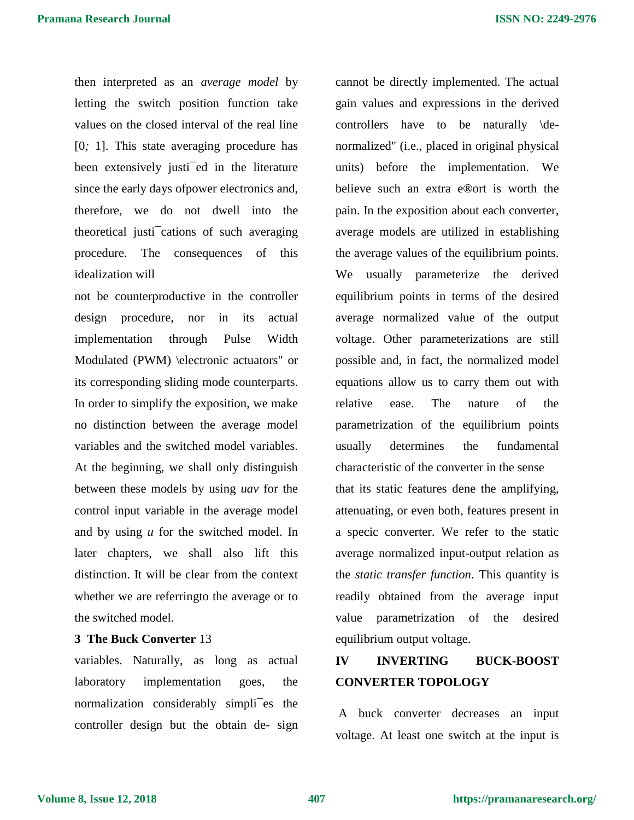then interpreted as an *average model* by letting the switch position function take values on the closed interval of the real line [0*;* 1]. This state averaging procedure has been extensively justi<sup>-</sup>ed in the literature since the early days ofpower electronics and, therefore, we do not dwell into the theoretical justi¯cations of such averaging procedure. The consequences of this idealization will

not be counterproductive in the controller design procedure, nor in its actual implementation through Pulse Width Modulated (PWM) \electronic actuators" or its corresponding sliding mode counterparts. In order to simplify the exposition, we make no distinction between the average model variables and the switched model variables. At the beginning, we shall only distinguish between these models by using *uav* for the control input variable in the average model and by using *u* for the switched model. In later chapters, we shall also lift this distinction. It will be clear from the context whether we are referringto the average or to the switched model.

### **3 The Buck Converter** 13

variables. Naturally, as long as actual laboratory implementation goes, the normalization considerably simpli¯es the controller design but the obtain de- sign cannot be directly implemented. The actual gain values and expressions in the derived controllers have to be naturally \denormalized" (i.e., placed in original physical units) before the implementation. We believe such an extra e®ort is worth the pain. In the exposition about each converter, average models are utilized in establishing the average values of the equilibrium points. We usually parameterize the derived equilibrium points in terms of the desired average normalized value of the output voltage. Other parameterizations are still possible and, in fact, the normalized model equations allow us to carry them out with relative ease. The nature of the parametrization of the equilibrium points usually determines the fundamental characteristic of the converter in the sense that its static features dene the amplifying, attenuating, or even both, features present in a specic converter. We refer to the static average normalized input-output relation as the *static transfer function*. This quantity is readily obtained from the average input value parametrization of the desired equilibrium output voltage.

# **IV INVERTING BUCK-BOOST CONVERTER TOPOLOGY**

A buck converter decreases an input voltage. At least one switch at the input is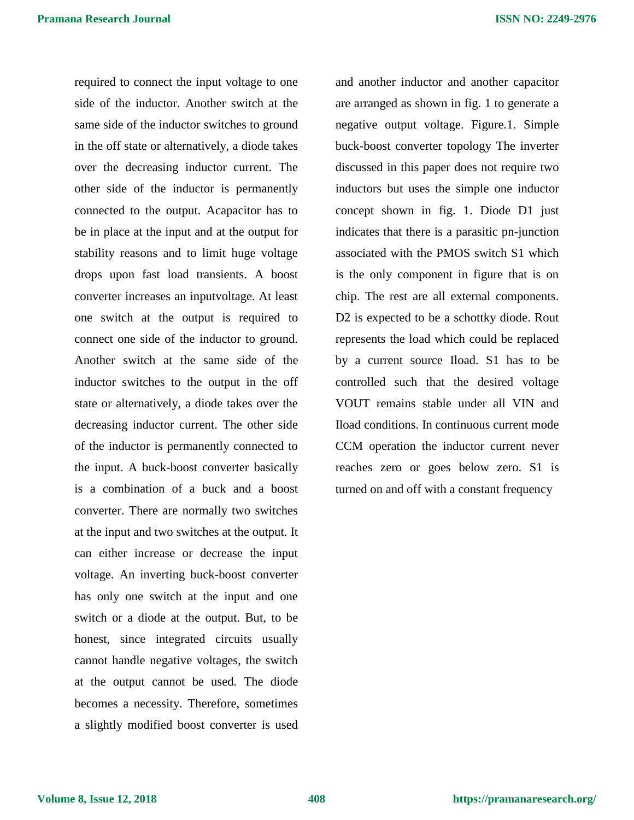required to connect the input voltage to one side of the inductor. Another switch at the same side of the inductor switches to ground in the off state or alternatively, a diode takes over the decreasing inductor current. The other side of the inductor is permanently connected to the output. Acapacitor has to be in place at the input and at the output for stability reasons and to limit huge voltage drops upon fast load transients. A boost converter increases an inputvoltage. At least one switch at the output is required to connect one side of the inductor to ground. Another switch at the same side of the inductor switches to the output in the off state or alternatively, a diode takes over the decreasing inductor current. The other side of the inductor is permanently connected to the input. A buck-boost converter basically is a combination of a buck and a boost converter. There are normally two switches at the input and two switches at the output. It can either increase or decrease the input voltage. An inverting buck-boost converter has only one switch at the input and one switch or a diode at the output. But, to be honest, since integrated circuits usually cannot handle negative voltages, the switch at the output cannot be used. The diode becomes a necessity. Therefore, sometimes a slightly modified boost converter is used

and another inductor and another capacitor are arranged as shown in fig. 1 to generate a negative output voltage. Figure.1. Simple buck-boost converter topology The inverter discussed in this paper does not require two inductors but uses the simple one inductor concept shown in fig. 1. Diode D1 just indicates that there is a parasitic pn-junction associated with the PMOS switch S1 which is the only component in figure that is on chip. The rest are all external components. D2 is expected to be a schottky diode. Rout represents the load which could be replaced by a current source Iload. S1 has to be controlled such that the desired voltage VOUT remains stable under all VIN and Iload conditions. In continuous current mode CCM operation the inductor current never reaches zero or goes below zero. S1 is turned on and off with a constant frequency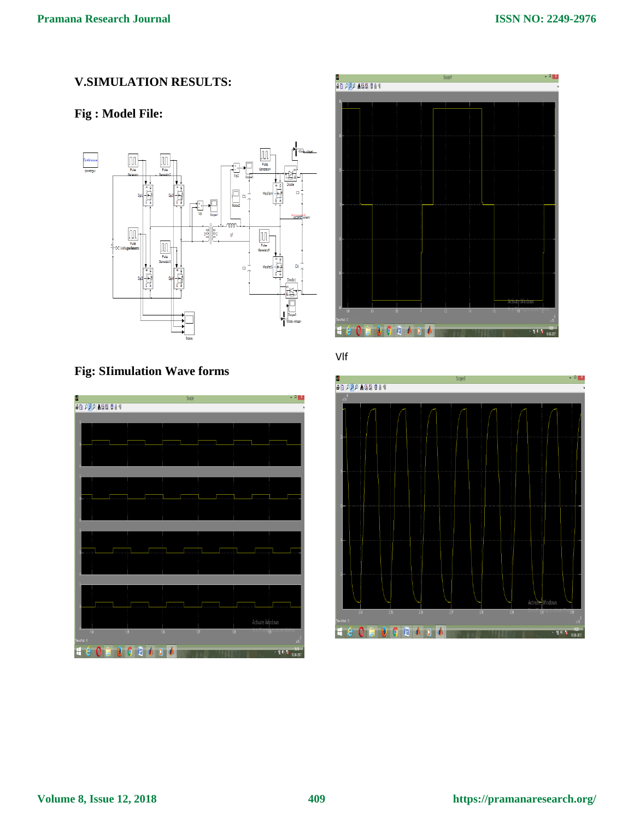# **V.SIMULATION RESULTS:**

### **Fig : Model File:**



### **Fig: SIimulation Wave forms**





Vlf

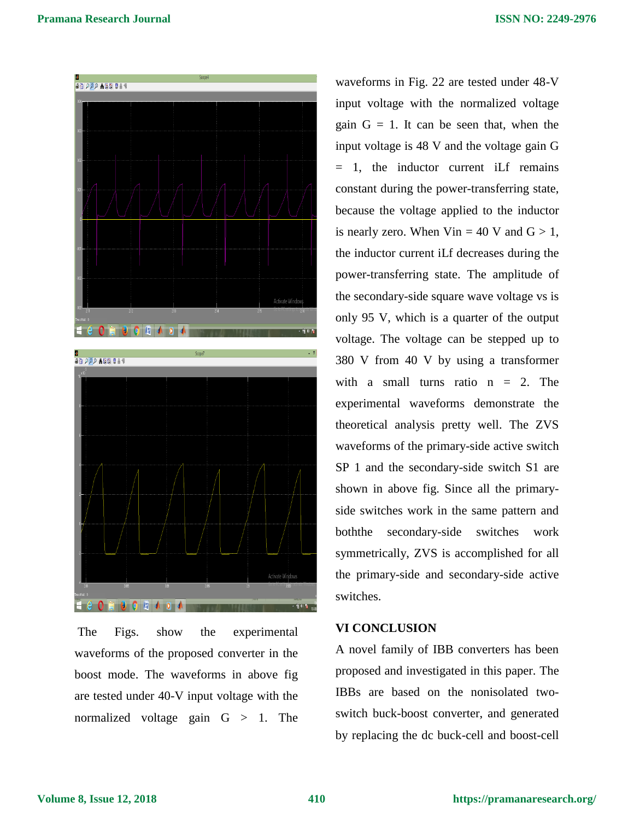

The Figs. show the experimental waveforms of the proposed converter in the boost mode. The waveforms in above fig are tested under 40-V input voltage with the normalized voltage gain  $G > 1$ . The

waveforms in Fig. 22 are tested under 48-V input voltage with the normalized voltage gain  $G = 1$ . It can be seen that, when the input voltage is 48 V and the voltage gain G = 1, the inductor current iLf remains constant during the power-transferring state, because the voltage applied to the inductor is nearly zero. When  $V$ in = 40 V and  $G > 1$ , the inductor current iLf decreases during the power-transferring state. The amplitude of the secondary-side square wave voltage vs is only 95 V, which is a quarter of the output voltage. The voltage can be stepped up to 380 V from 40 V by using a transformer with a small turns ratio  $n = 2$ . The experimental waveforms demonstrate the theoretical analysis pretty well. The ZVS waveforms of the primary-side active switch SP 1 and the secondary-side switch S1 are shown in above fig. Since all the primaryside switches work in the same pattern and boththe secondary-side switches work symmetrically, ZVS is accomplished for all the primary-side and secondary-side active switches.

### **VI CONCLUSION**

A novel family of IBB converters has been proposed and investigated in this paper. The IBBs are based on the nonisolated twoswitch buck-boost converter, and generated by replacing the dc buck-cell and boost-cell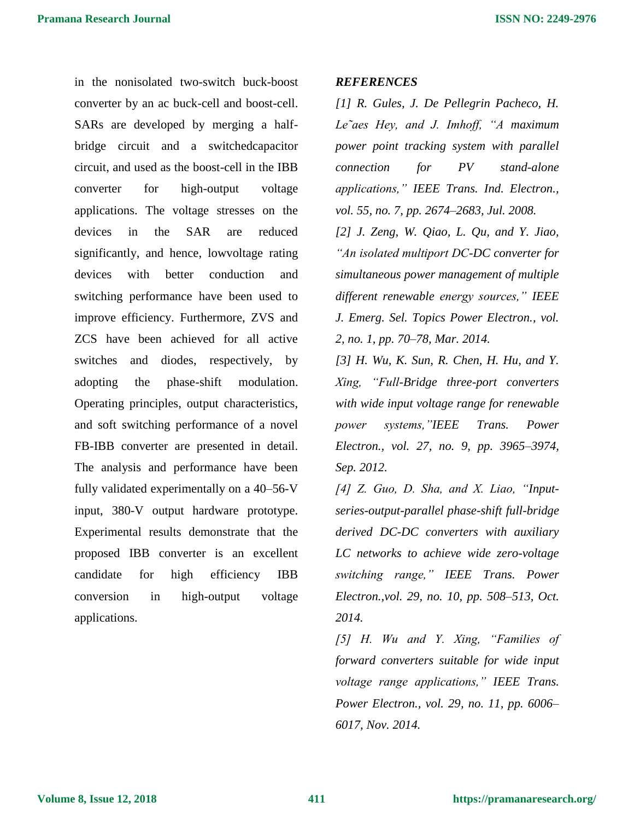in the nonisolated two-switch buck-boost converter by an ac buck-cell and boost-cell. SARs are developed by merging a halfbridge circuit and a switchedcapacitor circuit, and used as the boost-cell in the IBB converter for high-output voltage applications. The voltage stresses on the devices in the SAR are reduced significantly, and hence, lowvoltage rating devices with better conduction and switching performance have been used to improve efficiency. Furthermore, ZVS and ZCS have been achieved for all active switches and diodes, respectively, by adopting the phase-shift modulation. Operating principles, output characteristics, and soft switching performance of a novel FB-IBB converter are presented in detail. The analysis and performance have been fully validated experimentally on a 40–56-V input, 380-V output hardware prototype. Experimental results demonstrate that the proposed IBB converter is an excellent candidate for high efficiency IBB conversion in high-output voltage applications.

#### *REFERENCES*

*[1] R. Gules, J. De Pellegrin Pacheco, H. Le˜aes Hey, and J. Imhoff, "A maximum power point tracking system with parallel connection for PV stand-alone applications," IEEE Trans. Ind. Electron., vol. 55, no. 7, pp. 2674–2683, Jul. 2008.*

*[2] J. Zeng, W. Qiao, L. Qu, and Y. Jiao, "An isolated multiport DC-DC converter for simultaneous power management of multiple different renewable energy sources," IEEE J. Emerg. Sel. Topics Power Electron., vol. 2, no. 1, pp. 70–78, Mar. 2014.*

*[3] H. Wu, K. Sun, R. Chen, H. Hu, and Y. Xing, "Full-Bridge three-port converters with wide input voltage range for renewable power systems,"IEEE Trans. Power Electron., vol. 27, no. 9, pp. 3965–3974, Sep. 2012.*

*[4] Z. Guo, D. Sha, and X. Liao, "Inputseries-output-parallel phase-shift full-bridge derived DC-DC converters with auxiliary LC networks to achieve wide zero-voltage switching range," IEEE Trans. Power Electron.,vol. 29, no. 10, pp. 508–513, Oct. 2014.*

*[5] H. Wu and Y. Xing, "Families of forward converters suitable for wide input voltage range applications," IEEE Trans. Power Electron., vol. 29, no. 11, pp. 6006– 6017, Nov. 2014.*